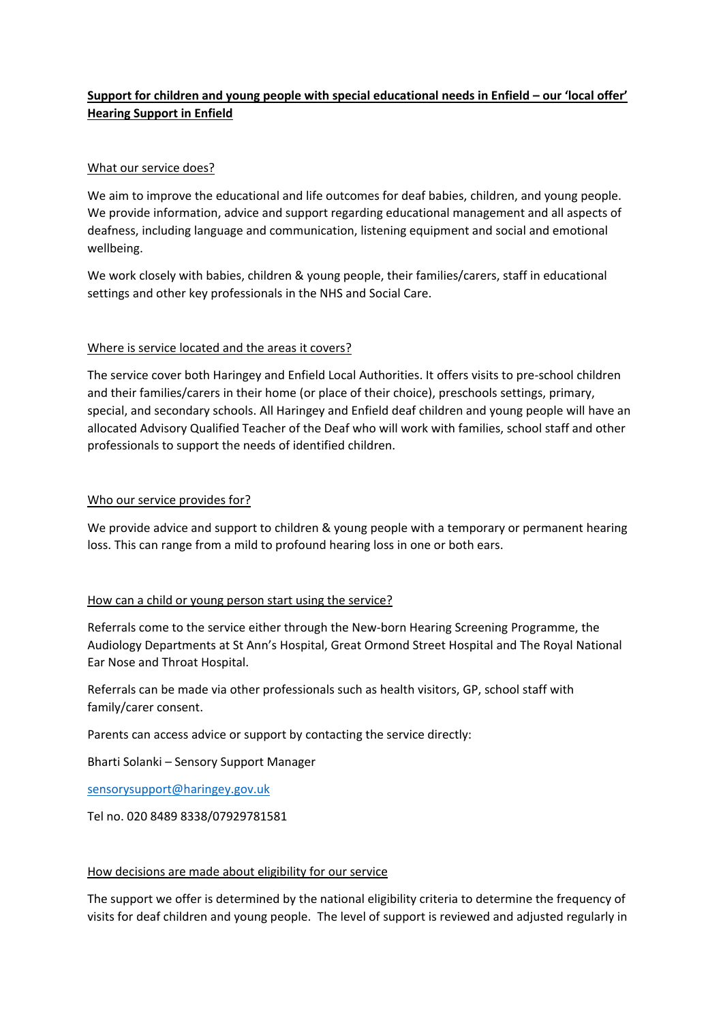# **Support for children and young people with special educational needs in Enfield – our 'local offer' Hearing Support in Enfield**

## What our service does?

We aim to improve the educational and life outcomes for deaf babies, children, and young people. We provide information, advice and support regarding educational management and all aspects of deafness, including language and communication, listening equipment and social and emotional wellbeing.

We work closely with babies, children & young people, their families/carers, staff in educational settings and other key professionals in the NHS and Social Care.

# Where is service located and the areas it covers?

The service cover both Haringey and Enfield Local Authorities. It offers visits to pre-school children and their families/carers in their home (or place of their choice), preschools settings, primary, special, and secondary schools. All Haringey and Enfield deaf children and young people will have an allocated Advisory Qualified Teacher of the Deaf who will work with families, school staff and other professionals to support the needs of identified children.

# Who our service provides for?

We provide advice and support to children & young people with a temporary or permanent hearing loss. This can range from a mild to profound hearing loss in one or both ears.

### How can a child or young person start using the service?

Referrals come to the service either through the New-born Hearing Screening Programme, the Audiology Departments at St Ann's Hospital, Great Ormond Street Hospital and The Royal National Ear Nose and Throat Hospital.

Referrals can be made via other professionals such as health visitors, GP, school staff with family/carer consent.

Parents can access advice or support by contacting the service directly:

Bharti Solanki – Sensory Support Manager

[sensorysupport@haringey.gov.uk](mailto:sensorysupport@haringey.gov.uk) 

Tel no. 020 8489 8338/07929781581

### How decisions are made about eligibility for our service

The support we offer is determined by the national eligibility criteria to determine the frequency of visits for deaf children and young people. The level of support is reviewed and adjusted regularly in